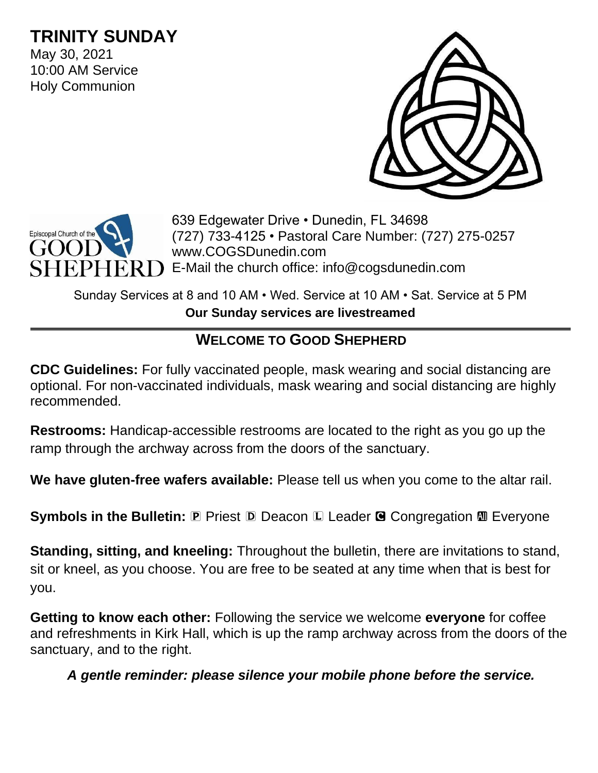# **TRINITY SUNDAY**

May 30, 2021 10:00 AM Service Holy Communion





639 Edgewater Drive • Dunedin, FL 34698 (727) 733-4125 • Pastoral Care Number: (727) 275-0257 www.COGSDunedin.com E-Mail the church office: info@cogsdunedin.com

Sunday Services at 8 and 10 AM • Wed. Service at 10 AM • Sat. Service at 5 PM **Our Sunday services are livestreamed**

# **WELCOME TO GOOD SHEPHERD**

**CDC Guidelines:** For fully vaccinated people, mask wearing and social distancing are optional. For non-vaccinated individuals, mask wearing and social distancing are highly recommended.

**Restrooms:** Handicap-accessible restrooms are located to the right as you go up the ramp through the archway across from the doors of the sanctuary.

**We have gluten-free wafers available:** Please tell us when you come to the altar rail.

**Symbols in the Bulletin: P** Priest **D** Deacon **L** Leader **G** Congregation **M** Everyone

**Standing, sitting, and kneeling:** Throughout the bulletin, there are invitations to stand, sit or kneel, as you choose. You are free to be seated at any time when that is best for you.

**Getting to know each other:** Following the service we welcome **everyone** for coffee and refreshments in Kirk Hall, which is up the ramp archway across from the doors of the sanctuary, and to the right.

*A gentle reminder: please silence your mobile phone before the service.*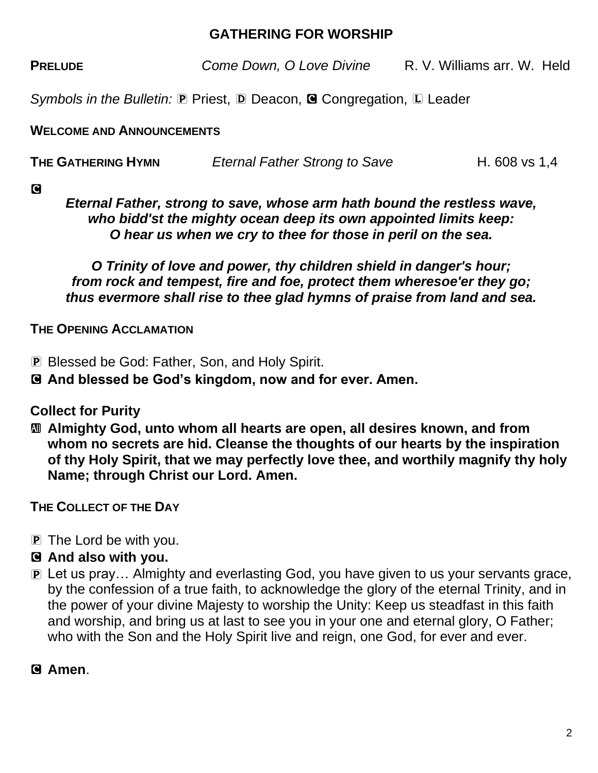#### **GATHERING FOR WORSHIP**

**PRELUDE** *Come Down, O Love Divine* R. V. Williams arr. W. Held

*Symbols in the Bulletin:* P Priest, D Deacon, **G** Congregation, L Leader

**WELCOME AND ANNOUNCEMENTS**

| THE GATHERING HYMN | <b>Eternal Father Strong to Save</b> | H. 608 vs 1,4 |
|--------------------|--------------------------------------|---------------|
|--------------------|--------------------------------------|---------------|

**C** 

*Eternal Father, strong to save, whose arm hath bound the restless wave, who bidd'st the mighty ocean deep its own appointed limits keep: O hear us when we cry to thee for those in peril on the sea.*

*O Trinity of love and power, thy children shield in danger's hour; from rock and tempest, fire and foe, protect them wheresoe'er they go; thus evermore shall rise to thee glad hymns of praise from land and sea.*

**THE OPENING ACCLAMATION**

P Blessed be God: Father, Son, and Holy Spirit.

C **And blessed be God's kingdom, now and for ever. Amen.**

**Collect for Purity**

a **Almighty God, unto whom all hearts are open, all desires known, and from whom no secrets are hid. Cleanse the thoughts of our hearts by the inspiration of thy Holy Spirit, that we may perfectly love thee, and worthily magnify thy holy Name; through Christ our Lord. Amen.**

**THE COLLECT OF THE DAY**

- **P** The Lord be with you.
- C **And also with you.**
- P Let us pray… Almighty and everlasting God, you have given to us your servants grace, by the confession of a true faith, to acknowledge the glory of the eternal Trinity, and in the power of your divine Majesty to worship the Unity: Keep us steadfast in this faith and worship, and bring us at last to see you in your one and eternal glory, O Father; who with the Son and the Holy Spirit live and reign, one God, for ever and ever.
- C **Amen**.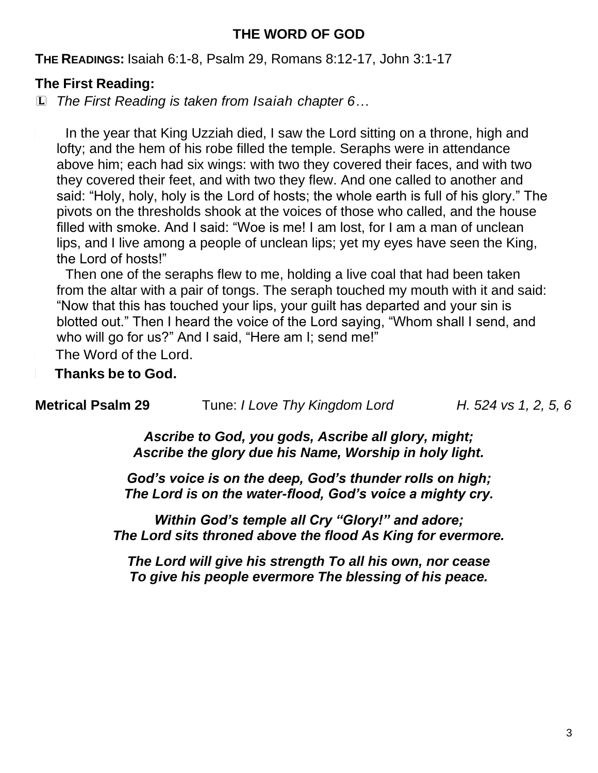#### **THE WORD OF GOD**

**THE READINGS:** Isaiah 6:1-8, Psalm 29, Romans 8:12-17, John 3:1-17

#### **The First Reading:**

L *The First Reading is taken from Isaiah chapter 6…*

In the year that King Uzziah died, I saw the Lord sitting on a throne, high and lofty; and the hem of his robe filled the temple. Seraphs were in attendance above him; each had six wings: with two they covered their faces, and with two they covered their feet, and with two they flew. And one called to another and said: "Holy, holy, holy is the Lord of hosts; the whole earth is full of his glory." The pivots on the thresholds shook at the voices of those who called, and the house filled with smoke. And I said: "Woe is me! I am lost, for I am a man of unclean lips, and I live among a people of unclean lips; yet my eyes have seen the King, the Lord of hosts!"

Then one of the seraphs flew to me, holding a live coal that had been taken from the altar with a pair of tongs. The seraph touched my mouth with it and said: "Now that this has touched your lips, your guilt has departed and your sin is blotted out." Then I heard the voice of the Lord saying, "Whom shall I send, and who will go for us?" And I said, "Here am I; send me!"

The Word of the Lord.

<sup>C</sup> **Thanks be to God.**

**Metrical Psalm 29** Tune: *I Love Thy Kingdom Lord H. 524 vs 1, 2, 5, 6*

*Ascribe to God, you gods, Ascribe all glory, might; Ascribe the glory due his Name, Worship in holy light.*

*God's voice is on the deep, God's thunder rolls on high; The Lord is on the water-flood, God's voice a mighty cry.*

*Within God's temple all Cry "Glory!" and adore; The Lord sits throned above the flood As King for evermore.*

*The Lord will give his strength To all his own, nor cease To give his people evermore The blessing of his peace.*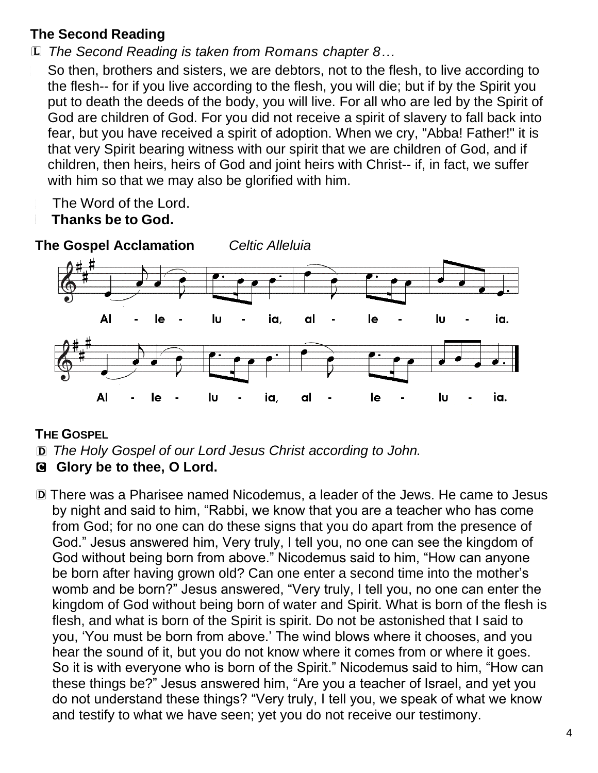# **The Second Reading**

L *The Second Reading is taken from Romans chapter 8…*

So then, brothers and sisters, we are debtors, not to the flesh, to live according to the flesh-- for if you live according to the flesh, you will die; but if by the Spirit you put to death the deeds of the body, you will live. For all who are led by the Spirit of God are children of God. For you did not receive a spirit of slavery to fall back into fear, but you have received a spirit of adoption. When we cry, "Abba! Father!" it is that very Spirit bearing witness with our spirit that we are children of God, and if children, then heirs, heirs of God and joint heirs with Christ-- if, in fact, we suffer with him so that we may also be glorified with him.

The Word of the Lord. <sup>C</sup> **Thanks be to God.**



### **THE GOSPEL**

- D *The Holy Gospel of our Lord Jesus Christ according to John.*
- C **Glory be to thee, O Lord.**
- D There was a Pharisee named Nicodemus, a leader of the Jews. He came to Jesus by night and said to him, "Rabbi, we know that you are a teacher who has come from God; for no one can do these signs that you do apart from the presence of God." Jesus answered him, Very truly, I tell you, no one can see the kingdom of God without being born from above." Nicodemus said to him, "How can anyone be born after having grown old? Can one enter a second time into the mother's womb and be born?" Jesus answered, "Very truly, I tell you, no one can enter the kingdom of God without being born of water and Spirit. What is born of the flesh is flesh, and what is born of the Spirit is spirit. Do not be astonished that I said to you, 'You must be born from above.' The wind blows where it chooses, and you hear the sound of it, but you do not know where it comes from or where it goes. So it is with everyone who is born of the Spirit." Nicodemus said to him, "How can these things be?" Jesus answered him, "Are you a teacher of Israel, and yet you do not understand these things? "Very truly, I tell you, we speak of what we know and testify to what we have seen; yet you do not receive our testimony.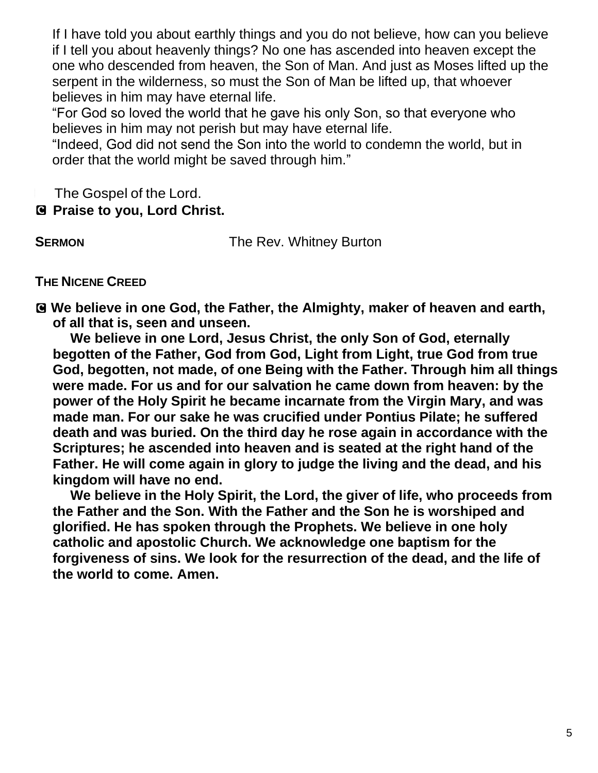If I have told you about earthly things and you do not believe, how can you believe if I tell you about heavenly things? No one has ascended into heaven except the one who descended from heaven, the Son of Man. And just as Moses lifted up the serpent in the wilderness, so must the Son of Man be lifted up, that whoever believes in him may have eternal life.

"For God so loved the world that he gave his only Son, so that everyone who believes in him may not perish but may have eternal life.

"Indeed, God did not send the Son into the world to condemn the world, but in order that the world might be saved through him."

The Gospel of the Lord.

#### C **Praise to you, Lord Christ.**

**SERMON** The Rev. Whitney Burton

#### **THE NICENE CREED**

C **We believe in one God, the Father, the Almighty, maker of heaven and earth, of all that is, seen and unseen.**

**We believe in one Lord, Jesus Christ, the only Son of God, eternally begotten of the Father, God from God, Light from Light, true God from true God, begotten, not made, of one Being with the Father. Through him all things were made. For us and for our salvation he came down from heaven: by the power of the Holy Spirit he became incarnate from the Virgin Mary, and was made man. For our sake he was crucified under Pontius Pilate; he suffered death and was buried. On the third day he rose again in accordance with the Scriptures; he ascended into heaven and is seated at the right hand of the Father. He will come again in glory to judge the living and the dead, and his kingdom will have no end.**

**We believe in the Holy Spirit, the Lord, the giver of life, who proceeds from the Father and the Son. With the Father and the Son he is worshiped and glorified. He has spoken through the Prophets. We believe in one holy catholic and apostolic Church. We acknowledge one baptism for the forgiveness of sins. We look for the resurrection of the dead, and the life of the world to come. Amen.**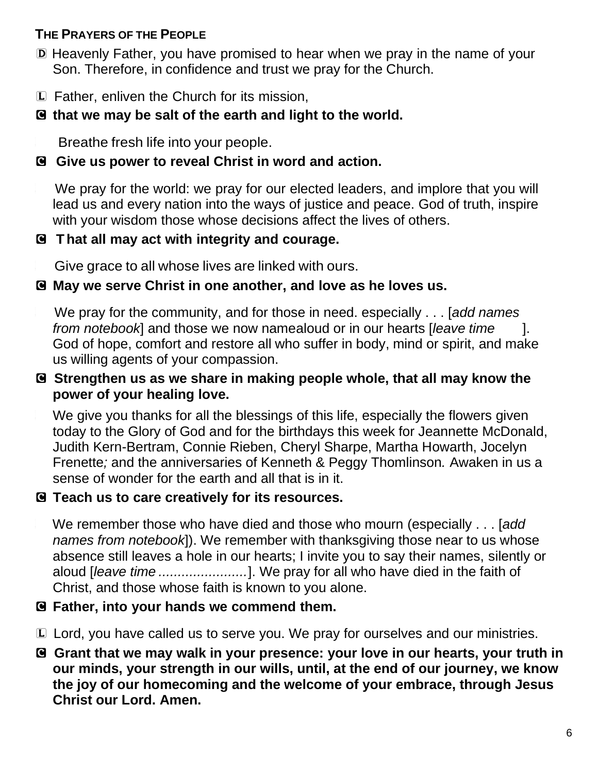### **THE PRAYERS OF THE PEOPLE**

- D Heavenly Father, you have promised to hear when we pray in the name of your Son. Therefore, in confidence and trust we pray for the Church.
- L Father, enliven the Church for its mission,

# C **that we may be salt of the earth and light to the world.**

Breathe fresh life into your people.

# C **Give us power to reveal Christ in word and action.**

We pray for the world: we pray for our elected leaders, and implore that you will lead us and every nation into the ways of justice and peace. God of truth, inspire with your wisdom those whose decisions affect the lives of others.

# C **That all may act with integrity and courage.**

Give grace to all whose lives are linked with ours.

# C **May we serve Christ in one another, and love as he loves us.**

<sup>L</sup> We pray for the community, and for those in need. especially . . . [*add names from notebook*] and those we now namealoud or in our hearts [*leave time* ]. God of hope, comfort and restore all who suffer in body, mind or spirit, and make us willing agents of your compassion.

#### C **Strengthen us as we share in making people whole, that all may know the power of your healing love.**

We give you thanks for all the blessings of this life, especially the flowers given today to the Glory of God and for the birthdays this week for Jeannette McDonald, Judith Kern-Bertram, Connie Rieben, Cheryl Sharpe, Martha Howarth, Jocelyn Frenette*;* and the anniversaries of Kenneth & Peggy Thomlinson*.* Awaken in us a sense of wonder for the earth and all that is in it.

### C **Teach us to care creatively for its resources.**

<sup>L</sup> We remember those who have died and those who mourn (especially . . . [*add names from notebook*]). We remember with thanksgiving those near to us whose absence still leaves a hole in our hearts; I invite you to say their names, silently or aloud [*leave time .......................*]. We pray for all who have died in the faith of Christ, and those whose faith is known to you alone.

# C **Father, into your hands we commend them.**

L Lord, you have called us to serve you. We pray for ourselves and our ministries.

C **Grant that we may walk in your presence: your love in our hearts, your truth in our minds, your strength in our wills, until, at the end of our journey, we know the joy of our homecoming and the welcome of your embrace, through Jesus Christ our Lord. Amen.**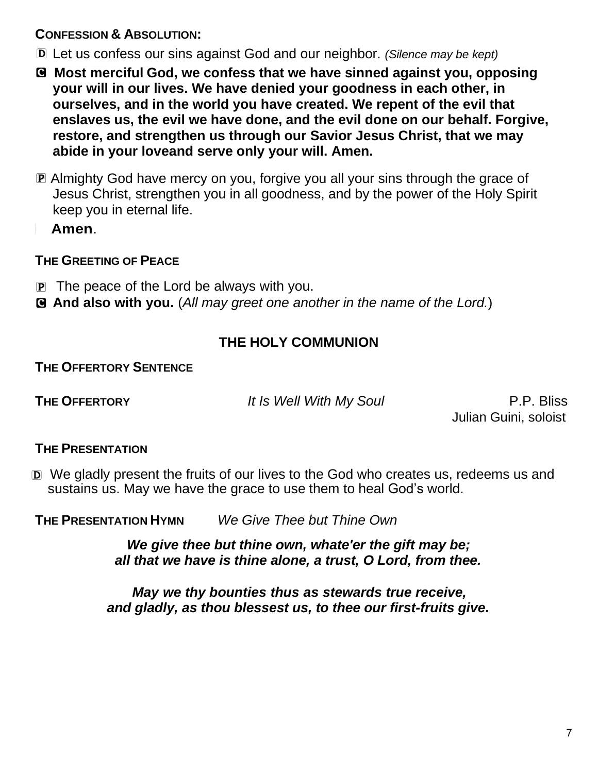#### **CONFESSION & ABSOLUTION:**

- D Let us confess our sins against God and our neighbor. *(Silence may be kept)*
- C **Most merciful God, we confess that we have sinned against you, opposing your will in our lives. We have denied your goodness in each other, in ourselves, and in the world you have created. We repent of the evil that enslaves us, the evil we have done, and the evil done on our behalf. Forgive, restore, and strengthen us through our Savior Jesus Christ, that we may abide in your loveand serve only your will. Amen.**
- P Almighty God have mercy on you, forgive you all your sins through the grace of Jesus Christ, strengthen you in all goodness, and by the power of the Holy Spirit keep you in eternal life.

<sup>C</sup> **Amen**.

### **THE GREETING OF PEACE**

- $\overline{P}$  The peace of the Lord be always with you.
- C **And also with you.** (*All may greet one another in the name of the Lord.*)

# **THE HOLY COMMUNION**

**THE OFFERTORY SENTENCE**

**THE OFFERTORY** *It Is Well With My Soul* P.P. Bliss

Julian Guini, soloist

### **THE PRESENTATION**

D We gladly present the fruits of our lives to the God who creates us, redeems us and sustains us. May we have the grace to use them to heal God's world.

**THE PRESENTATION HYMN** *We Give Thee but Thine Own*

*We give thee but thine own, whate'er the gift may be; all that we have is thine alone, a trust, O Lord, from thee.*

*May we thy bounties thus as stewards true receive, and gladly, as thou blessest us, to thee our first-fruits give.*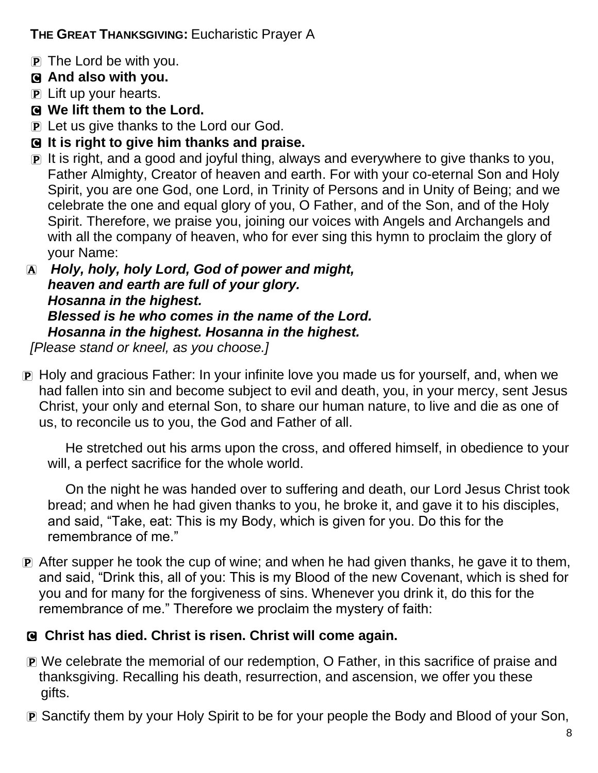**THE GREAT THANKSGIVING:** Eucharistic Prayer A

- P The Lord be with you.
- C **And also with you.**
- P Lift up your hearts.
- **R** We lift them to the Lord.
- P Let us give thanks to the Lord our God.
- C **It is right to give him thanks and praise.**
- **P** It is right, and a good and joyful thing, always and everywhere to give thanks to you, Father Almighty, Creator of heaven and earth. For with your co-eternal Son and Holy Spirit, you are one God, one Lord, in Trinity of Persons and in Unity of Being; and we celebrate the one and equal glory of you, O Father, and of the Son, and of the Holy Spirit. Therefore, we praise you, joining our voices with Angels and Archangels and with all the company of heaven, who for ever sing this hymn to proclaim the glory of your Name:
- A *Holy, holy, holy Lord, God of power and might, heaven and earth are full of your glory. Hosanna in the highest. Blessed is he who comes in the name of the Lord. Hosanna in the highest. Hosanna in the highest.*

*[Please stand or kneel, as you choose.]*

P Holy and gracious Father: In your infinite love you made us for yourself, and, when we had fallen into sin and become subject to evil and death, you, in your mercy, sent Jesus Christ, your only and eternal Son, to share our human nature, to live and die as one of us, to reconcile us to you, the God and Father of all.

He stretched out his arms upon the cross, and offered himself, in obedience to your will, a perfect sacrifice for the whole world.

On the night he was handed over to suffering and death, our Lord Jesus Christ took bread; and when he had given thanks to you, he broke it, and gave it to his disciples, and said, "Take, eat: This is my Body, which is given for you. Do this for the remembrance of me."

P After supper he took the cup of wine; and when he had given thanks, he gave it to them, and said, "Drink this, all of you: This is my Blood of the new Covenant, which is shed for you and for many for the forgiveness of sins. Whenever you drink it, do this for the remembrance of me." Therefore we proclaim the mystery of faith:

# C **Christ has died. Christ is risen. Christ will come again.**

- P We celebrate the memorial of our redemption, O Father, in this sacrifice of praise and thanksgiving. Recalling his death, resurrection, and ascension, we offer you these gifts.
- P Sanctify them by your Holy Spirit to be for your people the Body and Blood of your Son,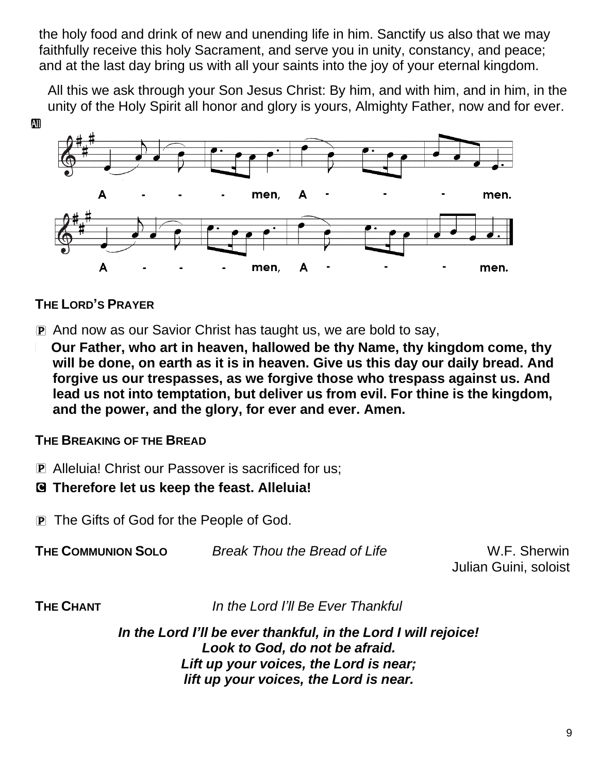the holy food and drink of new and unending life in him. Sanctify us also that we may faithfully receive this holy Sacrament, and serve you in unity, constancy, and peace; and at the last day bring us with all your saints into the joy of your eternal kingdom.

All this we ask through your Son Jesus Christ: By him, and with him, and in him, in the unity of the Holy Spirit all honor and glory is yours, Almighty Father, now and for ever.



#### **THE LORD'S PRAYER**

- P And now as our Savior Christ has taught us, we are bold to say,
- <sup>a</sup> **Our Father, who art in heaven, hallowed be thy Name, thy kingdom come, thy will be done, on earth as it is in heaven. Give us this day our daily bread. And forgive us our trespasses, as we forgive those who trespass against us. And lead us not into temptation, but deliver us from evil. For thine is the kingdom, and the power, and the glory, for ever and ever. Amen.**

#### **THE BREAKING OF THE BREAD**

P Alleluia! Christ our Passover is sacrificed for us;

#### C **Therefore let us keep the feast. Alleluia!**

P The Gifts of God for the People of God.

| <b>THE COMMUNION SOLO</b> | <b>Break Thou the Bread of Life</b> | W.F. Sherwin          |
|---------------------------|-------------------------------------|-----------------------|
|                           |                                     | Julian Guini, soloist |

**THE CHANT** *In the Lord I'll Be Ever Thankful*

*In the Lord I'll be ever thankful, in the Lord I will rejoice! Look to God, do not be afraid. Lift up your voices, the Lord is near; lift up your voices, the Lord is near.*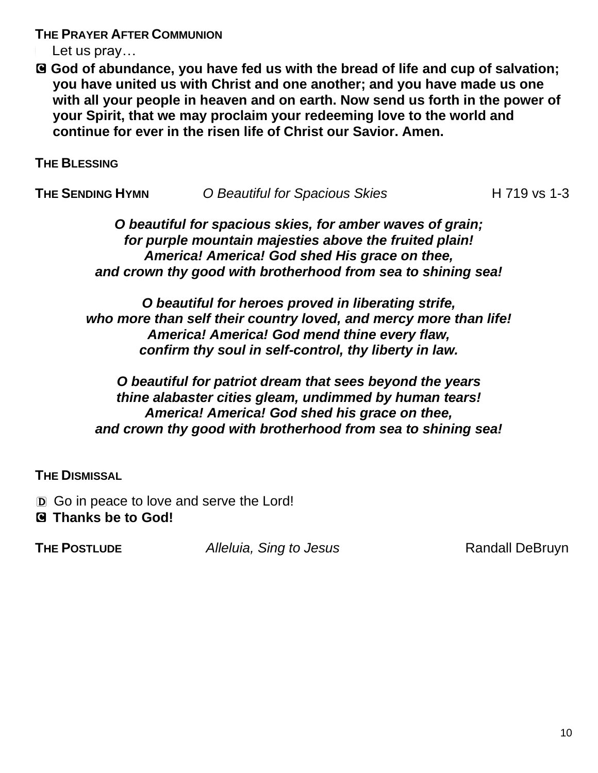**THE PRAYER AFTER COMMUNION**

Let us pray...

C **God of abundance, you have fed us with the bread of life and cup of salvation; you have united us with Christ and one another; and you have made us one with all your people in heaven and on earth. Now send us forth in the power of your Spirit, that we may proclaim your redeeming love to the world and continue for ever in the risen life of Christ our Savior. Amen.**

**THE BLESSING**

**THE SENDING HYMN O Beautiful for Spacious Skies H** 719 vs 1-3

*O beautiful for spacious skies, for amber waves of grain; for purple mountain majesties above the fruited plain! America! America! God shed His grace on thee, and crown thy good with brotherhood from sea to shining sea!*

*O beautiful for heroes proved in liberating strife, who more than self their country loved, and mercy more than life! America! America! God mend thine every flaw, confirm thy soul in self-control, thy liberty in law.*

*O beautiful for patriot dream that sees beyond the years thine alabaster cities gleam, undimmed by human tears! America! America! God shed his grace on thee, and crown thy good with brotherhood from sea to shining sea!*

**THE DISMISSAL**

D Go in peace to love and serve the Lord! C **Thanks be to God!**

**THE POSTLUDE** *Alleluia, Sing to Jesus* Randall DeBruyn